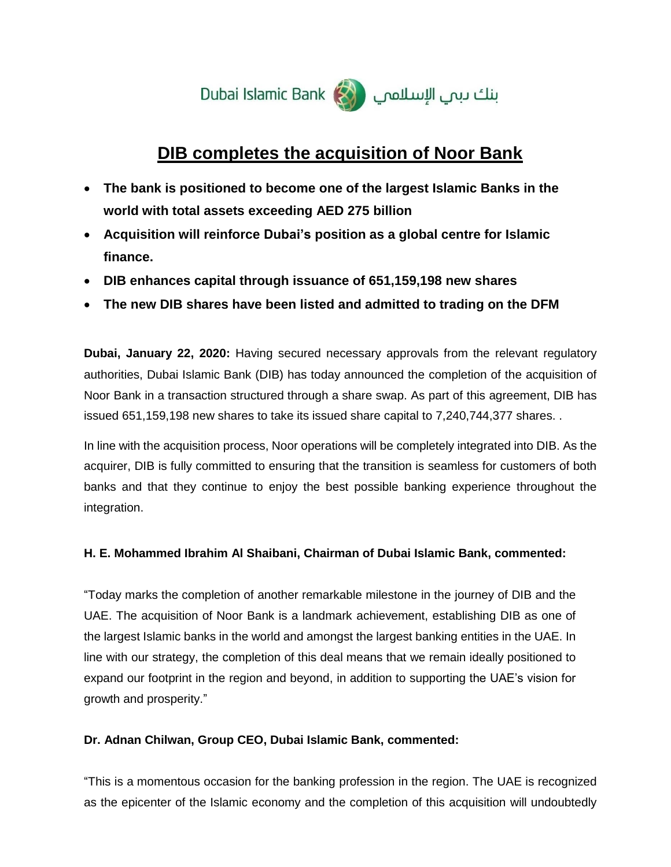

# **DIB completes the acquisition of Noor Bank**

- **The bank is positioned to become one of the largest Islamic Banks in the world with total assets exceeding AED 275 billion**
- **Acquisition will reinforce Dubai's position as a global centre for Islamic finance.**
- **DIB enhances capital through issuance of 651,159,198 new shares**
- **The new DIB shares have been listed and admitted to trading on the DFM**

**Dubai, January 22, 2020:** Having secured necessary approvals from the relevant regulatory authorities, Dubai Islamic Bank (DIB) has today announced the completion of the acquisition of Noor Bank in a transaction structured through a share swap. As part of this agreement, DIB has issued 651,159,198 new shares to take its issued share capital to 7,240,744,377 shares. .

In line with the acquisition process, Noor operations will be completely integrated into DIB. As the acquirer, DIB is fully committed to ensuring that the transition is seamless for customers of both banks and that they continue to enjoy the best possible banking experience throughout the integration.

## **H. E. Mohammed Ibrahim Al Shaibani, Chairman of Dubai Islamic Bank, commented:**

"Today marks the completion of another remarkable milestone in the journey of DIB and the UAE. The acquisition of Noor Bank is a landmark achievement, establishing DIB as one of the largest Islamic banks in the world and amongst the largest banking entities in the UAE. In line with our strategy, the completion of this deal means that we remain ideally positioned to expand our footprint in the region and beyond, in addition to supporting the UAE's vision for growth and prosperity."

## **Dr. Adnan Chilwan, Group CEO, Dubai Islamic Bank, commented:**

"This is a momentous occasion for the banking profession in the region. The UAE is recognized as the epicenter of the Islamic economy and the completion of this acquisition will undoubtedly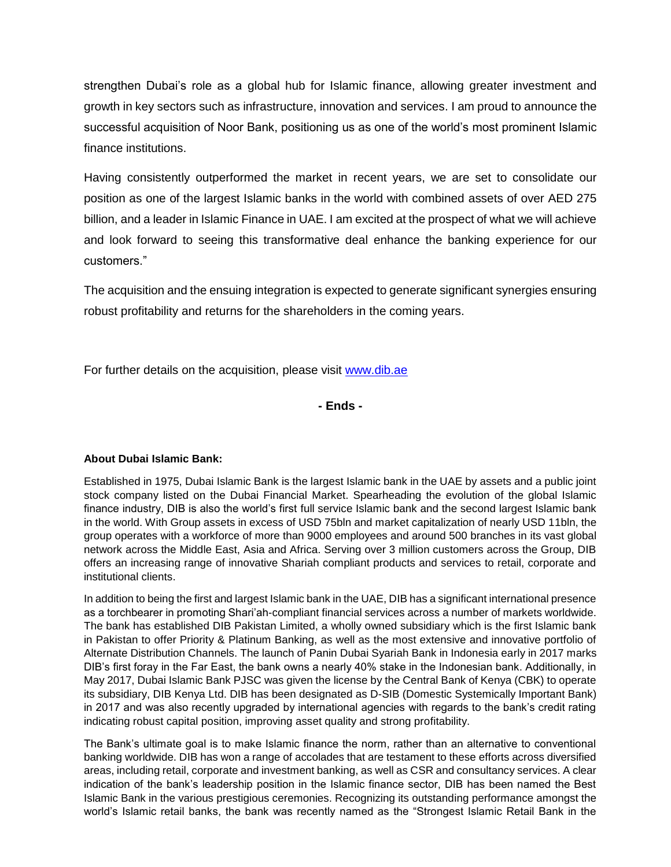strengthen Dubai's role as a global hub for Islamic finance, allowing greater investment and growth in key sectors such as infrastructure, innovation and services. I am proud to announce the successful acquisition of Noor Bank, positioning us as one of the world's most prominent Islamic finance institutions.

Having consistently outperformed the market in recent years, we are set to consolidate our position as one of the largest Islamic banks in the world with combined assets of over AED 275 billion, and a leader in Islamic Finance in UAE. I am excited at the prospect of what we will achieve and look forward to seeing this transformative deal enhance the banking experience for our customers."

The acquisition and the ensuing integration is expected to generate significant synergies ensuring robust profitability and returns for the shareholders in the coming years.

For further details on the acquisition, please visit [www.dib.ae](http://www.dib.ae/)

**- Ends -**

### **About Dubai Islamic Bank:**

Established in 1975, Dubai Islamic Bank is the largest Islamic bank in the UAE by assets and a public joint stock company listed on the Dubai Financial Market. Spearheading the evolution of the global Islamic finance industry, DIB is also the world's first full service Islamic bank and the second largest Islamic bank in the world. With Group assets in excess of USD 75bln and market capitalization of nearly USD 11bln, the group operates with a workforce of more than 9000 employees and around 500 branches in its vast global network across the Middle East, Asia and Africa. Serving over 3 million customers across the Group, DIB offers an increasing range of innovative Shariah compliant products and services to retail, corporate and institutional clients.

In addition to being the first and largest Islamic bank in the UAE, DIB has a significant international presence as a torchbearer in promoting Shari'ah-compliant financial services across a number of markets worldwide. The bank has established DIB Pakistan Limited, a wholly owned subsidiary which is the first Islamic bank in Pakistan to offer Priority & Platinum Banking, as well as the most extensive and innovative portfolio of Alternate Distribution Channels. The launch of Panin Dubai Syariah Bank in Indonesia early in 2017 marks DIB's first foray in the Far East, the bank owns a nearly 40% stake in the Indonesian bank. Additionally, in May 2017, Dubai Islamic Bank PJSC was given the license by the Central Bank of Kenya (CBK) to operate its subsidiary, DIB Kenya Ltd. DIB has been designated as D-SIB (Domestic Systemically Important Bank) in 2017 and was also recently upgraded by international agencies with regards to the bank's credit rating indicating robust capital position, improving asset quality and strong profitability.

The Bank's ultimate goal is to make Islamic finance the norm, rather than an alternative to conventional banking worldwide. DIB has won a range of accolades that are testament to these efforts across diversified areas, including retail, corporate and investment banking, as well as CSR and consultancy services. A clear indication of the bank's leadership position in the Islamic finance sector, DIB has been named the Best Islamic Bank in the various prestigious ceremonies. Recognizing its outstanding performance amongst the world's Islamic retail banks, the bank was recently named as the "Strongest Islamic Retail Bank in the